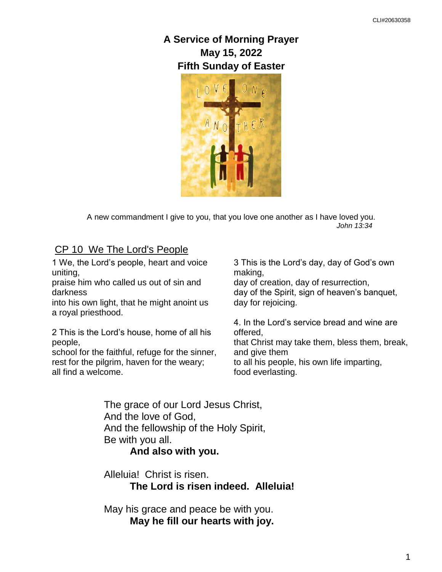**A Service of Morning Prayer May 15, 2022 Fifth Sunday of Easter**



A new commandment I give to you, that you love one another as I have loved you.  *John 13:34* 

# CP 10 We The Lord's People

1 We, the Lord's people, heart and voice uniting,

praise him who called us out of sin and darkness

into his own light, that he might anoint us a royal priesthood.

2 This is the Lord's house, home of all his people,

school for the faithful, refuge for the sinner, rest for the pilgrim, haven for the weary; all find a welcome.

3 This is the Lord's day, day of God's own making,

day of creation, day of resurrection, day of the Spirit, sign of heaven's banquet, day for rejoicing.

4. In the Lord's service bread and wine are offered, that Christ may take them, bless them, break, and give them to all his people, his own life imparting, food everlasting.

The grace of our Lord Jesus Christ, And the love of God, And the fellowship of the Holy Spirit, Be with you all. **And also with you.**

Alleluia! Christ is risen. **The Lord is risen indeed. Alleluia!**

May his grace and peace be with you. **May he fill our hearts with joy.**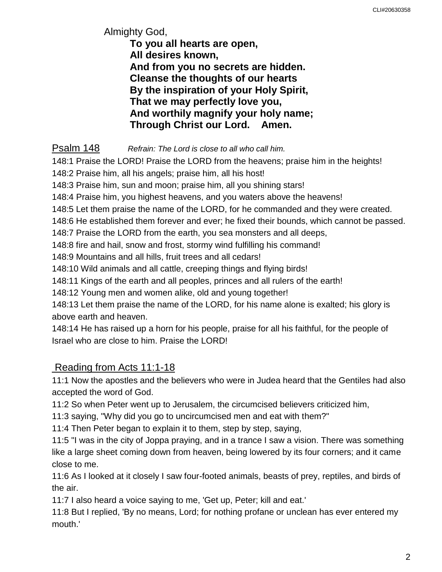Almighty God,

**To you all hearts are open, All desires known, And from you no secrets are hidden. Cleanse the thoughts of our hearts By the inspiration of your Holy Spirit, That we may perfectly love you, And worthily magnify your holy name; Through Christ our Lord. Amen.**

Psalm 148 *Refrain: The Lord is close to all who call him.*

148:1 Praise the LORD! Praise the LORD from the heavens; praise him in the heights!

148:2 Praise him, all his angels; praise him, all his host!

148:3 Praise him, sun and moon; praise him, all you shining stars!

148:4 Praise him, you highest heavens, and you waters above the heavens!

148:5 Let them praise the name of the LORD, for he commanded and they were created.

148:6 He established them forever and ever; he fixed their bounds, which cannot be passed.

148:7 Praise the LORD from the earth, you sea monsters and all deeps,

148:8 fire and hail, snow and frost, stormy wind fulfilling his command!

148:9 Mountains and all hills, fruit trees and all cedars!

148:10 Wild animals and all cattle, creeping things and flying birds!

148:11 Kings of the earth and all peoples, princes and all rulers of the earth!

148:12 Young men and women alike, old and young together!

148:13 Let them praise the name of the LORD, for his name alone is exalted; his glory is above earth and heaven.

148:14 He has raised up a horn for his people, praise for all his faithful, for the people of Israel who are close to him. Praise the LORD!

### Reading from Acts 11:1-18

11:1 Now the apostles and the believers who were in Judea heard that the Gentiles had also accepted the word of God.

11:2 So when Peter went up to Jerusalem, the circumcised believers criticized him,

11:3 saying, "Why did you go to uncircumcised men and eat with them?"

11:4 Then Peter began to explain it to them, step by step, saying,

11:5 "I was in the city of Joppa praying, and in a trance I saw a vision. There was something like a large sheet coming down from heaven, being lowered by its four corners; and it came close to me.

11:6 As I looked at it closely I saw four-footed animals, beasts of prey, reptiles, and birds of the air.

11:7 I also heard a voice saying to me, 'Get up, Peter; kill and eat.'

11:8 But I replied, 'By no means, Lord; for nothing profane or unclean has ever entered my mouth.'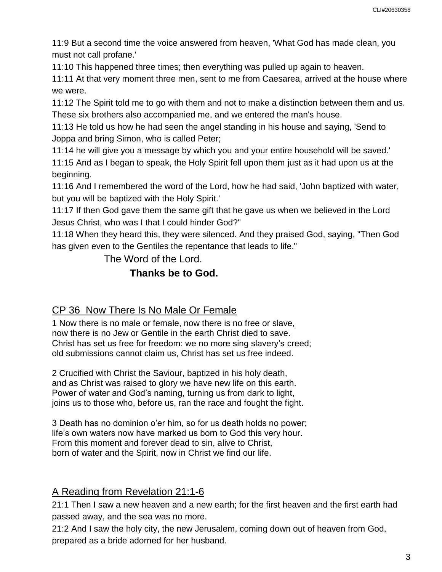11:9 But a second time the voice answered from heaven, 'What God has made clean, you must not call profane.'

11:10 This happened three times; then everything was pulled up again to heaven.

11:11 At that very moment three men, sent to me from Caesarea, arrived at the house where we were.

11:12 The Spirit told me to go with them and not to make a distinction between them and us. These six brothers also accompanied me, and we entered the man's house.

11:13 He told us how he had seen the angel standing in his house and saying, 'Send to Joppa and bring Simon, who is called Peter;

11:14 he will give you a message by which you and your entire household will be saved.'

11:15 And as I began to speak, the Holy Spirit fell upon them just as it had upon us at the beginning.

11:16 And I remembered the word of the Lord, how he had said, 'John baptized with water, but you will be baptized with the Holy Spirit.'

11:17 If then God gave them the same gift that he gave us when we believed in the Lord Jesus Christ, who was I that I could hinder God?"

11:18 When they heard this, they were silenced. And they praised God, saying, "Then God has given even to the Gentiles the repentance that leads to life."

The Word of the Lord.

# **Thanks be to God.**

# CP 36 Now There Is No Male Or Female

1 Now there is no male or female, now there is no free or slave, now there is no Jew or Gentile in the earth Christ died to save. Christ has set us free for freedom: we no more sing slavery's creed; old submissions cannot claim us, Christ has set us free indeed.

2 Crucified with Christ the Saviour, baptized in his holy death, and as Christ was raised to glory we have new life on this earth. Power of water and God's naming, turning us from dark to light, joins us to those who, before us, ran the race and fought the fight.

3 Death has no dominion o'er him, so for us death holds no power; life's own waters now have marked us born to God this very hour. From this moment and forever dead to sin, alive to Christ, born of water and the Spirit, now in Christ we find our life.

# A Reading from Revelation 21:1-6

21:1 Then I saw a new heaven and a new earth; for the first heaven and the first earth had passed away, and the sea was no more.

21:2 And I saw the holy city, the new Jerusalem, coming down out of heaven from God, prepared as a bride adorned for her husband.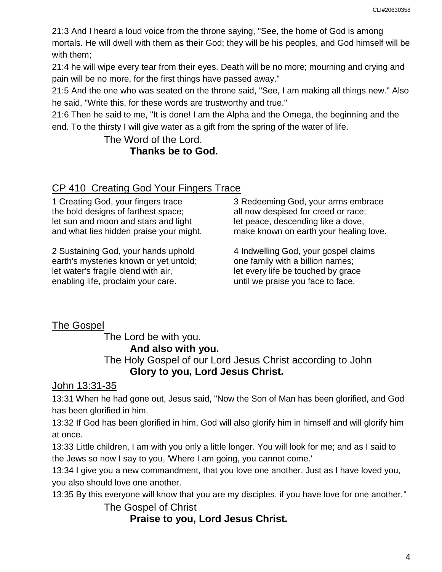21:3 And I heard a loud voice from the throne saying, "See, the home of God is among mortals. He will dwell with them as their God; they will be his peoples, and God himself will be with them;

21:4 he will wipe every tear from their eyes. Death will be no more; mourning and crying and pain will be no more, for the first things have passed away."

21:5 And the one who was seated on the throne said, "See, I am making all things new." Also he said, "Write this, for these words are trustworthy and true."

21:6 Then he said to me, "It is done! I am the Alpha and the Omega, the beginning and the end. To the thirsty I will give water as a gift from the spring of the water of life.

#### The Word of the Lord. **Thanks be to God.**

# CP 410 Creating God Your Fingers Trace

1 Creating God, your fingers trace the bold designs of farthest space; let sun and moon and stars and light and what lies hidden praise your might.

2 Sustaining God, your hands uphold earth's mysteries known or yet untold; let water's fragile blend with air, enabling life, proclaim your care.

3 Redeeming God, your arms embrace all now despised for creed or race; let peace, descending like a dove, make known on earth your healing love.

4 Indwelling God, your gospel claims one family with a billion names; let every life be touched by grace until we praise you face to face.

# The Gospel

The Lord be with you.

### **And also with you.**

# The Holy Gospel of our Lord Jesus Christ according to John **Glory to you, Lord Jesus Christ.**

### John 13:31-35

13:31 When he had gone out, Jesus said, "Now the Son of Man has been glorified, and God has been glorified in him.

13:32 If God has been glorified in him, God will also glorify him in himself and will glorify him at once.

13:33 Little children, I am with you only a little longer. You will look for me; and as I said to the Jews so now I say to you, 'Where I am going, you cannot come.'

13:34 I give you a new commandment, that you love one another. Just as I have loved you, you also should love one another.

13:35 By this everyone will know that you are my disciples, if you have love for one another."

The Gospel of Christ

**Praise to you, Lord Jesus Christ.**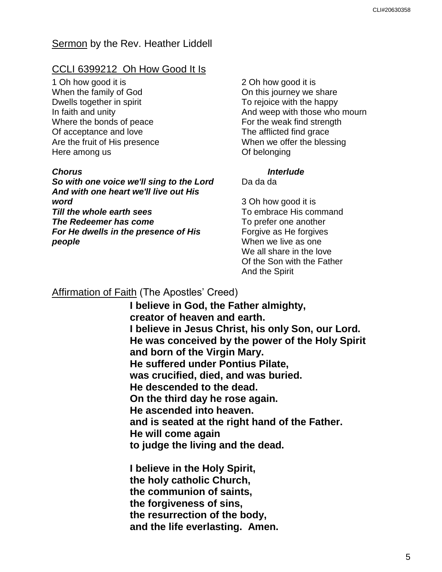# Sermon by the Rev. Heather Liddell

# CCLI 6399212 Oh How Good It Is

1 Oh how good it is When the family of God Dwells together in spirit In faith and unity Where the bonds of peace Of acceptance and love Are the fruit of His presence Here among us

#### *Chorus*

*So with one voice we'll sing to the Lord And with one heart we'll live out His word Till the whole earth sees The Redeemer has come For He dwells in the presence of His people*

2 Oh how good it is On this journey we share To rejoice with the happy And weep with those who mourn For the weak find strength The afflicted find grace When we offer the blessing Of belonging

#### *Interlude*

Da da da

3 Oh how good it is To embrace His command To prefer one another Forgive as He forgives When we live as one We all share in the love Of the Son with the Father And the Spirit

### Affirmation of Faith (The Apostles' Creed)

**I believe in God, the Father almighty, creator of heaven and earth. I believe in Jesus Christ, his only Son, our Lord. He was conceived by the power of the Holy Spirit and born of the Virgin Mary. He suffered under Pontius Pilate, was crucified, died, and was buried. He descended to the dead. On the third day he rose again. He ascended into heaven. and is seated at the right hand of the Father. He will come again to judge the living and the dead.**

**I believe in the Holy Spirit, the holy catholic Church, the communion of saints, the forgiveness of sins, the resurrection of the body, and the life everlasting. Amen.**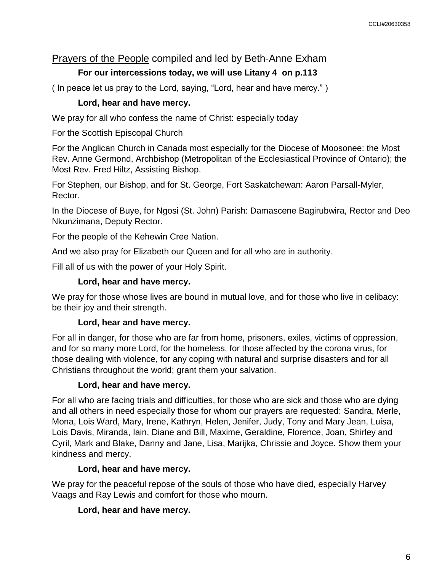# Prayers of the People compiled and led by Beth-Anne Exham

### **For our intercessions today, we will use Litany 4 on p.113**

( In peace let us pray to the Lord, saying, "Lord, hear and have mercy." )

### **Lord, hear and have mercy.**

We pray for all who confess the name of Christ: especially today

For the Scottish Episcopal Church

For the Anglican Church in Canada most especially for the Diocese of Moosonee: the Most Rev. Anne Germond, Archbishop (Metropolitan of the Ecclesiastical Province of Ontario); the Most Rev. Fred Hiltz, Assisting Bishop.

For Stephen, our Bishop, and for St. George, Fort Saskatchewan: Aaron Parsall-Myler, Rector.

In the Diocese of Buye, for Ngosi (St. John) Parish: Damascene Bagirubwira, Rector and Deo Nkunzimana, Deputy Rector.

For the people of the Kehewin Cree Nation.

And we also pray for Elizabeth our Queen and for all who are in authority.

Fill all of us with the power of your Holy Spirit.

#### **Lord, hear and have mercy.**

We pray for those whose lives are bound in mutual love, and for those who live in celibacy: be their joy and their strength.

### **Lord, hear and have mercy.**

For all in danger, for those who are far from home, prisoners, exiles, victims of oppression, and for so many more Lord, for the homeless, for those affected by the corona virus, for those dealing with violence, for any coping with natural and surprise disasters and for all Christians throughout the world; grant them your salvation.

### **Lord, hear and have mercy.**

For all who are facing trials and difficulties, for those who are sick and those who are dying and all others in need especially those for whom our prayers are requested: Sandra, Merle, Mona, Lois Ward, Mary, Irene, Kathryn, Helen, Jenifer, Judy, Tony and Mary Jean, Luisa, Lois Davis, Miranda, Iain, Diane and Bill, Maxime, Geraldine, Florence, Joan, Shirley and Cyril, Mark and Blake, Danny and Jane, Lisa, Marijka, Chrissie and Joyce. Show them your kindness and mercy.

#### **Lord, hear and have mercy.**

We pray for the peaceful repose of the souls of those who have died, especially Harvey Vaags and Ray Lewis and comfort for those who mourn.

### **Lord, hear and have mercy.**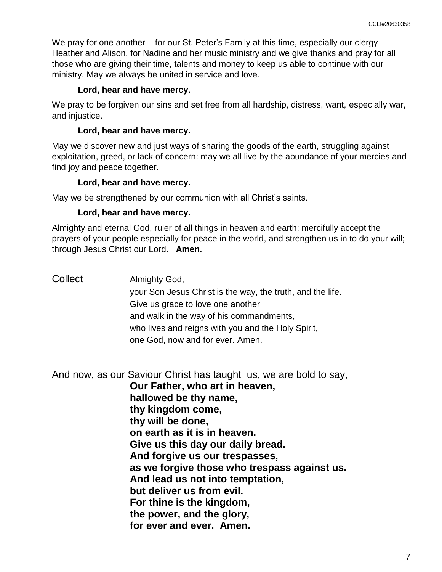We pray for one another – for our St. Peter's Family at this time, especially our clergy Heather and Alison, for Nadine and her music ministry and we give thanks and pray for all those who are giving their time, talents and money to keep us able to continue with our ministry. May we always be united in service and love.

#### **Lord, hear and have mercy.**

We pray to be forgiven our sins and set free from all hardship, distress, want, especially war, and injustice.

#### **Lord, hear and have mercy.**

May we discover new and just ways of sharing the goods of the earth, struggling against exploitation, greed, or lack of concern: may we all live by the abundance of your mercies and find joy and peace together.

#### **Lord, hear and have mercy.**

May we be strengthened by our communion with all Christ's saints.

#### **Lord, hear and have mercy.**

Almighty and eternal God, ruler of all things in heaven and earth: mercifully accept the prayers of your people especially for peace in the world, and strengthen us in to do your will; through Jesus Christ our Lord. **Amen.**

Collect Almighty God, your Son Jesus Christ is the way, the truth, and the life. Give us grace to love one another and walk in the way of his commandments, who lives and reigns with you and the Holy Spirit, one God, now and for ever. Amen.

And now, as our Saviour Christ has taught us, we are bold to say,

**Our Father, who art in heaven,**

**hallowed be thy name,**

**thy kingdom come,**

**thy will be done,**

**on earth as it is in heaven.**

**Give us this day our daily bread.**

**And forgive us our trespasses,**

**as we forgive those who trespass against us.**

**And lead us not into temptation,**

**but deliver us from evil.**

**For thine is the kingdom,**

**the power, and the glory,**

**for ever and ever. Amen.**